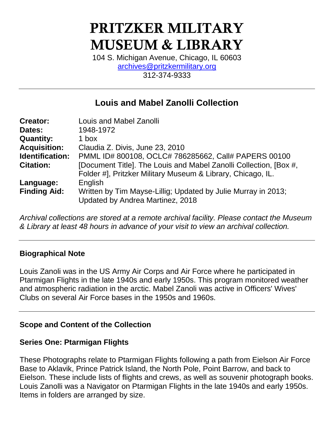# PRITZKER MILITARY MUSEUM & LIBRARY

104 S. Michigan Avenue, Chicago, IL 60603 [archives@pritzkermilitary.org](mailto:archives@pritzkermilitary.org) 312-374-9333

# **Louis and Mabel Zanolli Collection**

| <b>Creator:</b>        | Louis and Mabel Zanolli                                           |
|------------------------|-------------------------------------------------------------------|
| Dates:                 | 1948-1972                                                         |
| <b>Quantity:</b>       | 1 box                                                             |
| <b>Acquisition:</b>    | Claudia Z. Divis, June 23, 2010                                   |
| <b>Identification:</b> | PMML ID# 800108, OCLC# 786285662, Call# PAPERS 00100              |
| <b>Citation:</b>       | [Document Title]. The Louis and Mabel Zanolli Collection, [Box #, |
|                        | Folder #], Pritzker Military Museum & Library, Chicago, IL.       |
| Language:              | English                                                           |
| <b>Finding Aid:</b>    | Written by Tim Mayse-Lillig; Updated by Julie Murray in 2013;     |
|                        | Updated by Andrea Martinez, 2018                                  |

*Archival collections are stored at a remote archival facility. Please contact the Museum & Library at least 48 hours in advance of your visit to view an archival collection.*

#### **Biographical Note**

Louis Zanoli was in the US Army Air Corps and Air Force where he participated in Ptarmigan Flights in the late 1940s and early 1950s. This program monitored weather and atmospheric radiation in the arctic. Mabel Zanoli was active in Officers' Wives' Clubs on several Air Force bases in the 1950s and 1960s.

# **Scope and Content of the Collection**

# **Series One: Ptarmigan Flights**

These Photographs relate to Ptarmigan Flights following a path from Eielson Air Force Base to Aklavik, Prince Patrick Island, the North Pole, Point Barrow, and back to Eielson. These include lists of flights and crews, as well as souvenir photograph books. Louis Zanolli was a Navigator on Ptarmigan Flights in the late 1940s and early 1950s. Items in folders are arranged by size.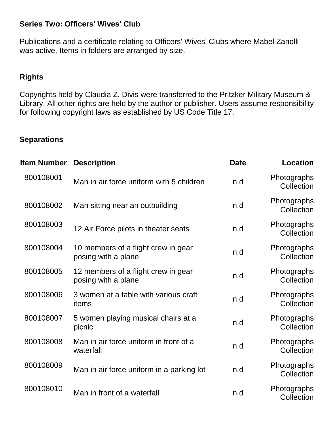# **Series Two: Officers' Wives' Club**

Publications and a certificate relating to Officers' Wives' Clubs where Mabel Zanolli was active. Items in folders are arranged by size.

### **Rights**

Copyrights held by Claudia Z. Divis were transferred to the Pritzker Military Museum & Library. All other rights are held by the author or publisher. Users assume responsibility for following copyright laws as established by US Code Title 17.

#### **Separations**

| <b>Item Number</b> | <b>Description</b>                                         | <b>Date</b> | <b>Location</b>           |
|--------------------|------------------------------------------------------------|-------------|---------------------------|
| 800108001          | Man in air force uniform with 5 children                   | n.d         | Photographs<br>Collection |
| 800108002          | Man sitting near an outbuilding                            | n.d         | Photographs<br>Collection |
| 800108003          | 12 Air Force pilots in theater seats                       | n.d         | Photographs<br>Collection |
| 800108004          | 10 members of a flight crew in gear<br>posing with a plane | n.d         | Photographs<br>Collection |
| 800108005          | 12 members of a flight crew in gear<br>posing with a plane | n.d         | Photographs<br>Collection |
| 800108006          | 3 women at a table with various craft<br>items             | n.d         | Photographs<br>Collection |
| 800108007          | 5 women playing musical chairs at a<br>picnic              | n.d         | Photographs<br>Collection |
| 800108008          | Man in air force uniform in front of a<br>waterfall        | n.d         | Photographs<br>Collection |
| 800108009          | Man in air force uniform in a parking lot                  | n.d         | Photographs<br>Collection |
| 800108010          | Man in front of a waterfall                                | n.d         | Photographs<br>Collection |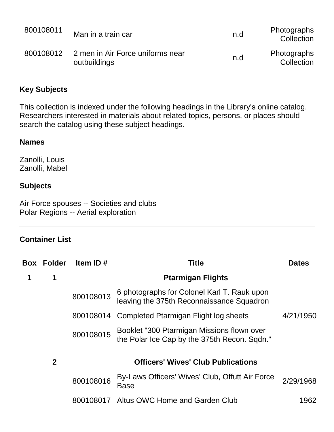| 800108011 | Man in a train car                               | n.d | <b>Photographs</b><br>Collection |
|-----------|--------------------------------------------------|-----|----------------------------------|
| 800108012 | 2 men in Air Force uniforms near<br>outbuildings | n.d | <b>Photographs</b><br>Collection |

### **Key Subjects**

This collection is indexed under the following headings in the Library's online catalog. Researchers interested in materials about related topics, persons, or places should search the catalog using these subject headings.

#### **Names**

Zanolli, Louis Zanolli, Mabel

#### **Subjects**

Air Force spouses -- Societies and clubs Polar Regions -- Aerial exploration

#### **Container List**

|   | <b>Box Folder</b> | Item ID#  | <b>Title</b>                                                                               | <b>Dates</b> |
|---|-------------------|-----------|--------------------------------------------------------------------------------------------|--------------|
| 1 | 1                 |           | <b>Ptarmigan Flights</b>                                                                   |              |
|   |                   | 800108013 | 6 photographs for Colonel Karl T. Rauk upon<br>leaving the 375th Reconnaissance Squadron   |              |
|   |                   |           | 800108014 Completed Ptarmigan Flight log sheets                                            | 4/21/1950    |
|   |                   | 800108015 | Booklet "300 Ptarmigan Missions flown over<br>the Polar Ice Cap by the 375th Recon. Sqdn." |              |
|   | $\mathbf{2}$      |           | <b>Officers' Wives' Club Publications</b>                                                  |              |
|   |                   | 800108016 | By-Laws Officers' Wives' Club, Offutt Air Force<br><b>Base</b>                             | 2/29/1968    |
|   |                   | 800108017 | Altus OWC Home and Garden Club                                                             | 1962.        |
|   |                   |           |                                                                                            |              |